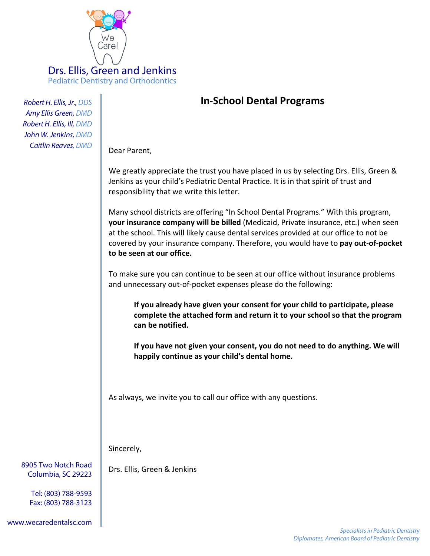

*Robert H. Ellis, Jr., DDS Amy Ellis Green, DMD Robert H. Ellis, III, DMD John W. Jenkins, DMD Caitlin Reaves, DMD*

## **In-School Dental Programs**

Dear Parent,

We greatly appreciate the trust you have placed in us by selecting Drs. Ellis, Green & Jenkins as your child's Pediatric Dental Practice. It is in that spirit of trust and responsibility that we write this letter.

Many school districts are offering "In School Dental Programs." With this program, **your insurance company will be billed** (Medicaid, Private insurance, etc.) when seen at the school. This will likely cause dental services provided at our office to not be covered by your insurance company. Therefore, you would have to **pay out-of-pocket to be seen at our office.**

To make sure you can continue to be seen at our office without insurance problems and unnecessary out-of-pocket expenses please do the following:

**If you already have given your consent for your child to participate, please complete the attached form and return it to your school so that the program can be notified.**

**If you have not given your consent, you do not need to do anything. We will happily continue as your child's dental home.**

As always, we invite you to call our office with any questions.

Sincerely,

Drs. Ellis, Green & Jenkins

8905 Two Notch Road Columbia, SC 29223

> Tel: (803) 788-9593 Fax: (803) 788-3123